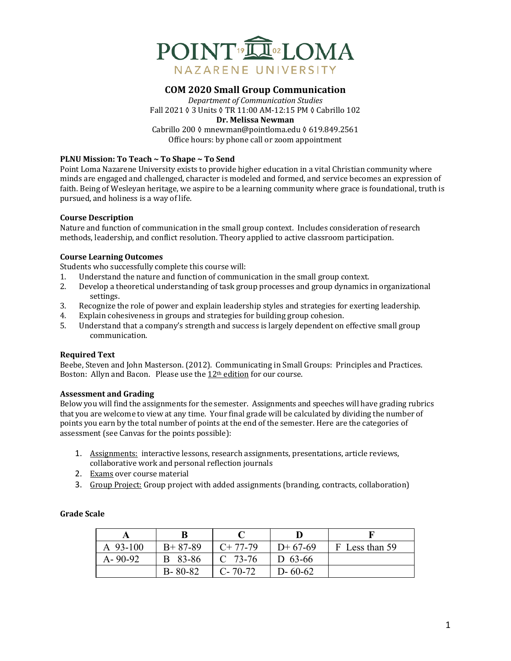

# **COM 2020 Small Group Communication**

*Department of Communication Studies* Fall 2021 0 3 Units 0 TR 11:00 AM-12:15 PM 0 Cabrillo 102 **Dr. Melissa Newman** Cabrillo 200 ◊ mnewman@pointloma.edu ◊ 619.849.2561 Office hours: by phone call or zoom appointment

## **PLNU Mission: To Teach ~ To Shape ~ To Send**

Point Loma Nazarene University exists to provide higher education in a vital Christian community where minds are engaged and challenged, character is modeled and formed, and service becomes an expression of faith. Being of Wesleyan heritage, we aspire to be a learning community where grace is foundational, truth is pursued, and holiness is a way of life.

#### **Course Description**

Nature and function of communication in the small group context. Includes consideration of research methods, leadership, and conflict resolution. Theory applied to active classroom participation.

#### **Course Learning Outcomes**

Students who successfully complete this course will:

- 1. Understand the nature and function of communication in the small group context.
- 2. Develop a theoretical understanding of task group processes and group dynamics in organizational settings.
- 3. Recognize the role of power and explain leadership styles and strategies for exerting leadership.
- 4. Explain cohesiveness in groups and strategies for building group cohesion.
- 5. Understand that a company's strength and success is largely dependent on effective small group communication.

#### **Required Text**

Beebe, Steven and John Masterson. (2012). Communicating in Small Groups: Principles and Practices. Boston: Allyn and Bacon. Please use the  $12<sup>th</sup>$  edition for our course.

## **Assessment and Grading**

Below you will find the assignments for the semester. Assignments and speeches will have grading rubrics that you are welcome to view at any time. Your final grade will be calculated by dividing the number of points you earn by the total number of points at the end of the semester. Here are the categories of assessment (see Canvas for the points possible):

- 1. Assignments: interactive lessons, research assignments, presentations, article reviews, collaborative work and personal reflection journals
- 2. Exams over course material
- 3. Group Project: Group project with added assignments (branding, contracts, collaboration)

| A 93-100      | $B+87-89$     | $C+77-79$   | $D+67-69$     | F Less than 59 |
|---------------|---------------|-------------|---------------|----------------|
| $A - 90 - 92$ | B 83-86       | $C$ 73-76   | D 63-66       |                |
|               | $B - 80 - 82$ | $C - 70-72$ | $D - 60 - 62$ |                |

# **Grade Scale**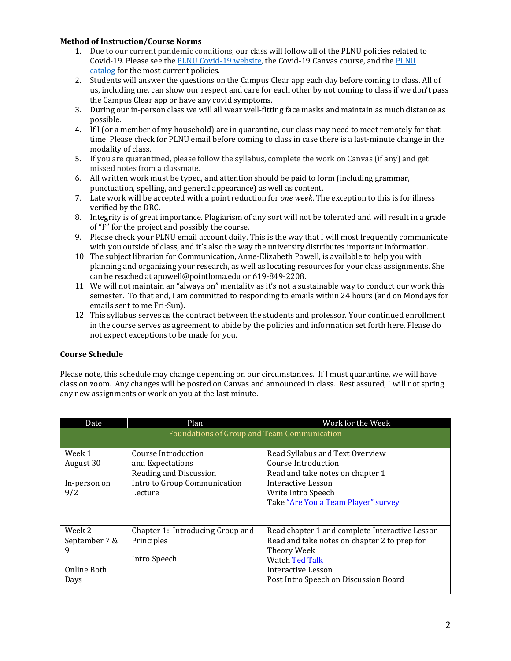## **Method of Instruction/Course Norms**

- 1. Due to our current pandemic conditions, our class will follow all of the PLNU policies related to Covid-19. Please see the PLNU Covid-19 website, the Covid-19 Canvas course, and the PLNU catalog for the most current policies.
- 2. Students will answer the questions on the Campus Clear app each day before coming to class. All of us, including me, can show our respect and care for each other by not coming to class if we don't pass the Campus Clear app or have any covid symptoms.
- 3. During our in-person class we will all wear well-fitting face masks and maintain as much distance as possible.
- 4. If I (or a member of my household) are in quarantine, our class may need to meet remotely for that time. Please check for PLNU email before coming to class in case there is a last-minute change in the modality of class.
- 5. If you are quarantined, please follow the syllabus, complete the work on Canvas (if any) and get missed notes from a classmate.
- 6. All written work must be typed, and attention should be paid to form (including grammar, punctuation, spelling, and general appearance) as well as content.
- 7. Late work will be accepted with a point reduction for *one week*. The exception to this is for illness verified by the DRC.
- 8. Integrity is of great importance. Plagiarism of any sort will not be tolerated and will result in a grade of "F" for the project and possibly the course.
- 9. Please check your PLNU email account daily. This is the way that I will most frequently communicate with you outside of class, and it's also the way the university distributes important information.
- 10. The subject librarian for Communication, Anne-Elizabeth Powell, is available to help you with planning and organizing your research, as well as locating resources for your class assignments. She can be reached at apowell@pointloma.edu or 619-849-2208.
- 11. We will not maintain an "always on" mentality as it's not a sustainable way to conduct our work this semester. To that end, I am committed to responding to emails within 24 hours (and on Mondays for emails sent to me Fri-Sun).
- 12. This syllabus serves as the contract between the students and professor. Your continued enrollment in the course serves as agreement to abide by the policies and information set forth here. Please do not expect exceptions to be made for you.

# **Course Schedule**

Please note, this schedule may change depending on our circumstances. If I must quarantine, we will have class on zoom. Any changes will be posted on Canvas and announced in class. Rest assured, I will not spring any new assignments or work on you at the last minute.

| <b>Date</b>   | Plan                                        | Work for the Week                              |  |  |  |
|---------------|---------------------------------------------|------------------------------------------------|--|--|--|
|               | Foundations of Group and Team Communication |                                                |  |  |  |
|               |                                             |                                                |  |  |  |
| Week 1        | Course Introduction                         | Read Syllabus and Text Overview                |  |  |  |
| August 30     | and Expectations                            | Course Introduction                            |  |  |  |
|               | Reading and Discussion                      | Read and take notes on chapter 1               |  |  |  |
| In-person on  | Intro to Group Communication                | Interactive Lesson                             |  |  |  |
| 9/2           | Lecture                                     | Write Intro Speech                             |  |  |  |
|               |                                             | Take "Are You a Team Player" survey            |  |  |  |
|               |                                             |                                                |  |  |  |
|               |                                             |                                                |  |  |  |
| Week 2        | Chapter 1: Introducing Group and            | Read chapter 1 and complete Interactive Lesson |  |  |  |
| September 7 & | Principles                                  | Read and take notes on chapter 2 to prep for   |  |  |  |
| 9             |                                             | Theory Week                                    |  |  |  |
|               | Intro Speech                                | Watch Ted Talk                                 |  |  |  |
| Online Both   |                                             | Interactive Lesson                             |  |  |  |
| Days          |                                             | Post Intro Speech on Discussion Board          |  |  |  |
|               |                                             |                                                |  |  |  |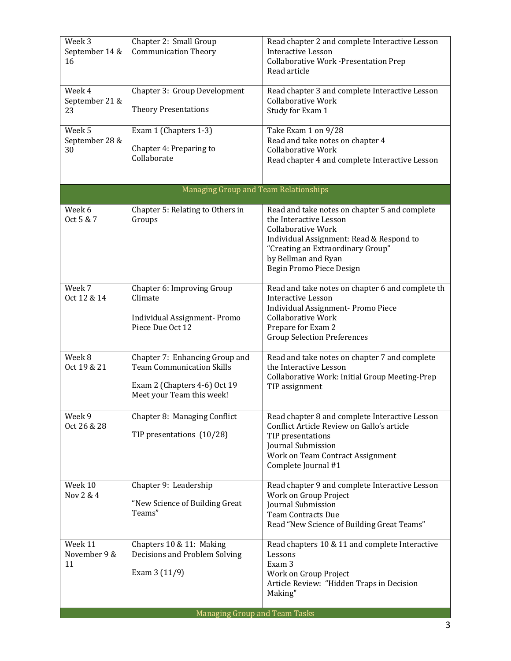| Week 3<br>September 14 &<br>16                                                                    | Chapter 2: Small Group<br><b>Communication Theory</b>                                                                           | Read chapter 2 and complete Interactive Lesson<br><b>Interactive Lesson</b><br><b>Collaborative Work -Presentation Prep</b><br>Read article                                                                                              |
|---------------------------------------------------------------------------------------------------|---------------------------------------------------------------------------------------------------------------------------------|------------------------------------------------------------------------------------------------------------------------------------------------------------------------------------------------------------------------------------------|
| Week 4<br>September 21 &<br>23                                                                    | Chapter 3: Group Development<br><b>Theory Presentations</b>                                                                     | Read chapter 3 and complete Interactive Lesson<br><b>Collaborative Work</b><br>Study for Exam 1                                                                                                                                          |
| Week 5<br>Exam 1 (Chapters 1-3)<br>September 28 &<br>Chapter 4: Preparing to<br>30<br>Collaborate |                                                                                                                                 | Take Exam 1 on 9/28<br>Read and take notes on chapter 4<br><b>Collaborative Work</b><br>Read chapter 4 and complete Interactive Lesson                                                                                                   |
|                                                                                                   | Managing Group and Team Relationships                                                                                           |                                                                                                                                                                                                                                          |
| Week 6<br>Oct 5 & 7                                                                               | Chapter 5: Relating to Others in<br>Groups                                                                                      | Read and take notes on chapter 5 and complete<br>the Interactive Lesson<br><b>Collaborative Work</b><br>Individual Assignment: Read & Respond to<br>"Creating an Extraordinary Group"<br>by Bellman and Ryan<br>Begin Promo Piece Design |
| Week 7<br>Oct 12 & 14                                                                             | Chapter 6: Improving Group<br>Climate<br>Individual Assignment-Promo<br>Piece Due Oct 12                                        | Read and take notes on chapter 6 and complete th<br><b>Interactive Lesson</b><br>Individual Assignment- Promo Piece<br><b>Collaborative Work</b><br>Prepare for Exam 2<br><b>Group Selection Preferences</b>                             |
| Week 8<br>Oct 19 & 21                                                                             | Chapter 7: Enhancing Group and<br><b>Team Communication Skills</b><br>Exam 2 (Chapters 4-6) Oct 19<br>Meet your Team this week! | Read and take notes on chapter 7 and complete<br>the Interactive Lesson<br>Collaborative Work: Initial Group Meeting-Prep<br>TIP assignment                                                                                              |
| Week 9<br>Oct 26 & 28                                                                             | Chapter 8: Managing Conflict<br>TIP presentations (10/28)                                                                       | Read chapter 8 and complete Interactive Lesson<br>Conflict Article Review on Gallo's article<br>TIP presentations<br>Journal Submission<br>Work on Team Contract Assignment<br>Complete Journal #1                                       |
| Week 10<br>Nov 2 & 4                                                                              | Chapter 9: Leadership<br>"New Science of Building Great<br>Teams"                                                               | Read chapter 9 and complete Interactive Lesson<br>Work on Group Project<br>Journal Submission<br><b>Team Contracts Due</b><br>Read "New Science of Building Great Teams"                                                                 |
| Week 11<br>November 9 &<br>11                                                                     | Chapters 10 & 11: Making<br>Decisions and Problem Solving<br>Exam $3(11/9)$                                                     | Read chapters 10 & 11 and complete Interactive<br>Lessons<br>Exam 3<br>Work on Group Project<br>Article Review: "Hidden Traps in Decision<br>Making"                                                                                     |
|                                                                                                   | Managing Group and Team Tasks                                                                                                   |                                                                                                                                                                                                                                          |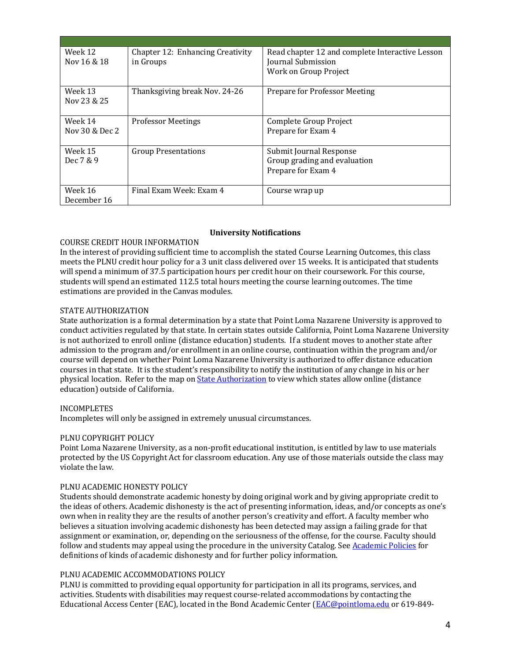| Week 12<br>Nov 16 & 18    | Chapter 12: Enhancing Creativity<br>in Groups | Read chapter 12 and complete Interactive Lesson<br>Journal Submission<br>Work on Group Project |
|---------------------------|-----------------------------------------------|------------------------------------------------------------------------------------------------|
| Week 13<br>Nov 23 & 25    | Thanksgiving break Nov. 24-26                 | Prepare for Professor Meeting                                                                  |
| Week 14<br>Nov 30 & Dec 2 | <b>Professor Meetings</b>                     | Complete Group Project<br>Prepare for Exam 4                                                   |
| Week 15<br>Dec 7 & 9      | <b>Group Presentations</b>                    | Submit Journal Response<br>Group grading and evaluation<br>Prepare for Exam 4                  |
| Week 16<br>December 16    | Final Exam Week: Exam 4                       | Course wrap up                                                                                 |

## **University Notifications**

## COURSE CREDIT HOUR INFORMATION

In the interest of providing sufficient time to accomplish the stated Course Learning Outcomes, this class meets the PLNU credit hour policy for a 3 unit class delivered over 15 weeks. It is anticipated that students will spend a minimum of 37.5 participation hours per credit hour on their coursework. For this course, students will spend an estimated 112.5 total hours meeting the course learning outcomes. The time estimations are provided in the Canvas modules.

#### STATE AUTHORIZATION

State authorization is a formal determination by a state that Point Loma Nazarene University is approved to conduct activities regulated by that state. In certain states outside California, Point Loma Nazarene University is not authorized to enroll online (distance education) students. If a student moves to another state after admission to the program and/or enrollment in an online course, continuation within the program and/or course will depend on whether Point Loma Nazarene University is authorized to offer distance education courses in that state. It is the student's responsibility to notify the institution of any change in his or her physical location. Refer to the map on State Authorization to view which states allow online (distance education) outside of California.

#### INCOMPLETES

Incompletes will only be assigned in extremely unusual circumstances.

## PLNU COPYRIGHT POLICY

Point Loma Nazarene University, as a non-profit educational institution, is entitled by law to use materials protected by the US Copyright Act for classroom education. Any use of those materials outside the class may violate the law.

## PLNU ACADEMIC HONESTY POLICY

Students should demonstrate academic honesty by doing original work and by giving appropriate credit to the ideas of others. Academic dishonesty is the act of presenting information, ideas, and/or concepts as one's own when in reality they are the results of another person's creativity and effort. A faculty member who believes a situation involving academic dishonesty has been detected may assign a failing grade for that assignment or examination, or, depending on the seriousness of the offense, for the course. Faculty should follow and students may appeal using the procedure in the university Catalog. See Academic Policies for definitions of kinds of academic dishonesty and for further policy information.

#### PLNU ACADEMIC ACCOMMODATIONS POLICY

PLNU is committed to providing equal opportunity for participation in all its programs, services, and activities. Students with disabilities may request course-related accommodations by contacting the Educational Access Center (EAC), located in the Bond Academic Center (EAC@pointloma.edu or 619-849